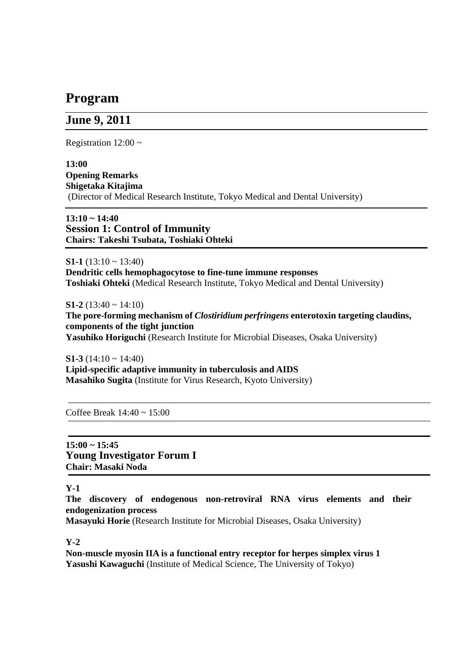# **Program**

## **June 9, 2011**

Registration  $12:00 \sim$ 

**13:00 Opening Remarks Shigetaka Kitajima**  (Director of Medical Research Institute, Tokyo Medical and Dental University)

**13:10 ~ 14:40 Session 1: Control of Immunity Chairs: Takeshi Tsubata, Toshiaki Ohteki** 

**S1-1** (13:10  $\sim$  13:40) **Dendritic cells hemophagocytose to fine-tune immune responses Toshiaki Ohteki** (Medical Research Institute, Tokyo Medical and Dental University)

**S1-2** (13:40 ~ 14:10) **The pore-forming mechanism of** *Clostiridium perfringens* **enterotoxin targeting claudins, components of the tight junction Yasuhiko Horiguchi** (Research Institute for Microbial Diseases, Osaka University)

**S1-3** (14:10  $\sim$  14:40) **Lipid-specific adaptive immunity in tuberculosis and AIDS Masahiko Sugita** (Institute for Virus Research, Kyoto University)

Coffee Break  $14:40 \sim 15:00$ 

**15:00 ~ 15:45 Young Investigator Forum I Chair: Masaki Noda** 

**Y-1** 

**The discovery of endogenous non-retroviral RNA virus elements and their endogenization process** 

**Masayuki Horie** (Research Institute for Microbial Diseases, Osaka University)

**Y-2** 

**Non-muscle myosin IIA is a functional entry receptor for herpes simplex virus 1 Yasushi Kawaguchi** (Institute of Medical Science, The University of Tokyo)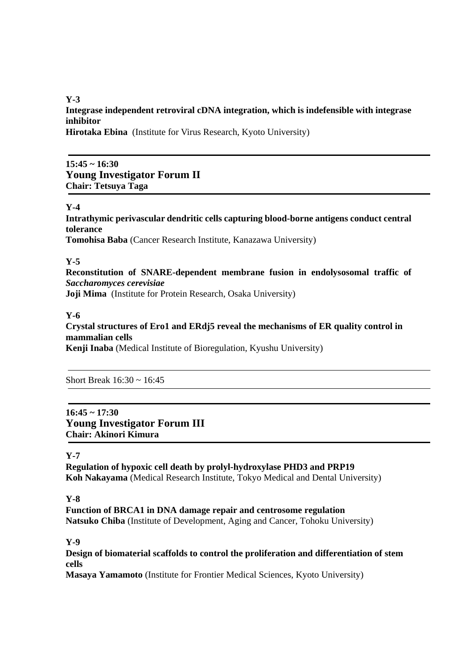**Y-3** 

**Integrase independent retroviral cDNA integration, which is indefensible with integrase inhibitor** 

**Hirotaka Ebina** (Institute for Virus Research, Kyoto University)

## **15:45 ~ 16:30 Young Investigator Forum II Chair: Tetsuya Taga**

#### **Y-4**

**Intrathymic perivascular dendritic cells capturing blood-borne antigens conduct central tolerance** 

**Tomohisa Baba** (Cancer Research Institute, Kanazawa University)

#### **Y-5**

**Reconstitution of SNARE-dependent membrane fusion in endolysosomal traffic of**  *Saccharomyces cerevisiae* **Joji Mima** (Institute for Protein Research, Osaka University)

#### **Y-6**

**Crystal structures of Ero1 and ERdj5 reveal the mechanisms of ER quality control in mammalian cells**

**Kenji Inaba** (Medical Institute of Bioregulation, Kyushu University)

Short Break 16:30 ~ 16:45

## **16:45 ~ 17:30 Young Investigator Forum III Chair: Akinori Kimura**

#### **Y-7**

**Regulation of hypoxic cell death by prolyl-hydroxylase PHD3 and PRP19 Koh Nakayama** (Medical Research Institute, Tokyo Medical and Dental University)

**Y-8** 

**Function of BRCA1 in DNA damage repair and centrosome regulation Natsuko Chiba** (Institute of Development, Aging and Cancer, Tohoku University)

**Y-9** 

**Design of biomaterial scaffolds to control the proliferation and differentiation of stem cells** 

**Masaya Yamamoto** (Institute for Frontier Medical Sciences, Kyoto University)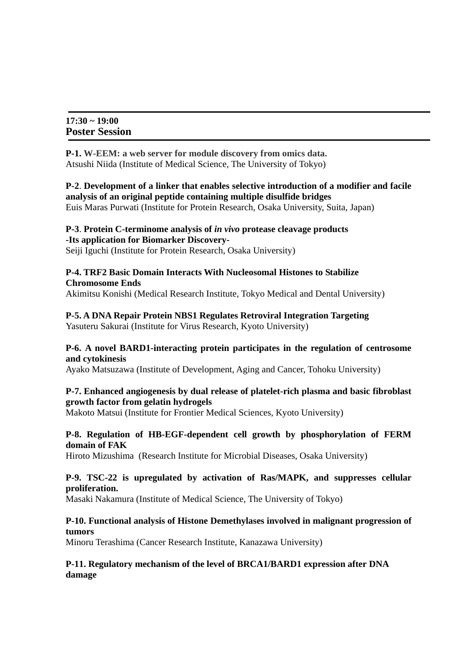| $17:30 \sim 19:00$ |                       |
|--------------------|-----------------------|
|                    | <b>Poster Session</b> |

**P-1. W-EEM: a web server for module discovery from omics data.**  Atsushi Niida (Institute of Medical Science, The University of Tokyo)

**P-2**. **Development of a linker that enables selective introduction of a modifier and facile analysis of an original peptide containing multiple disulfide bridges**  Euis Maras Purwati (Institute for Protein Research, Osaka University, Suita, Japan)

#### **P-3**. **Protein C-terminome analysis of** *in vivo* **protease cleavage products -Its application for Biomarker Discovery-**

Seiji Iguchi (Institute for Protein Research, Osaka University)

#### **P-4. TRF2 Basic Domain Interacts With Nucleosomal Histones to Stabilize Chromosome Ends**

Akimitsu Konishi (Medical Research Institute, Tokyo Medical and Dental University)

**P-5. A DNA Repair Protein NBS1 Regulates Retroviral Integration Targeting** Yasuteru Sakurai (Institute for Virus Research, Kyoto University)

#### **P-6. A novel BARD1-interacting protein participates in the regulation of centrosome and cytokinesis**

Ayako Matsuzawa (Institute of Development, Aging and Cancer, Tohoku University)

## **P-7. Enhanced angiogenesis by dual release of platelet-rich plasma and basic fibroblast growth factor from gelatin hydrogels**

Makoto Matsui (Institute for Frontier Medical Sciences, Kyoto University)

#### **P-8. Regulation of HB-EGF-dependent cell growth by phosphorylation of FERM domain of FAK**

Hiroto Mizushima (Research Institute for Microbial Diseases, Osaka University)

#### **P-9. TSC-22 is upregulated by activation of Ras/MAPK, and suppresses cellular proliferation.**

Masaki Nakamura (Institute of Medical Science, The University of Tokyo)

#### **P-10. Functional analysis of Histone Demethylases involved in malignant progression of tumors**

Minoru Terashima (Cancer Research Institute, Kanazawa University)

#### **P-11. Regulatory mechanism of the level of BRCA1/BARD1 expression after DNA damage**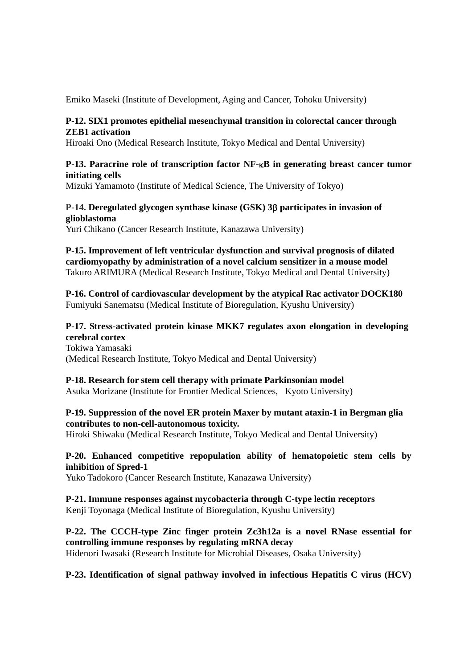Emiko Maseki (Institute of Development, Aging and Cancer, Tohoku University)

#### **P-12. SIX1 promotes epithelial mesenchymal transition in colorectal cancer through ZEB1 activation**

Hiroaki Ono (Medical Research Institute, Tokyo Medical and Dental University)

### **P-13. Paracrine role of transcription factor NF-B in generating breast cancer tumor initiating cells**

Mizuki Yamamoto (Institute of Medical Science, The University of Tokyo)

#### **P-14. Deregulated glycogen synthase kinase (GSK) 3 participates in invasion of glioblastoma**

Yuri Chikano (Cancer Research Institute, Kanazawa University)

**P-15. Improvement of left ventricular dysfunction and survival prognosis of dilated cardiomyopathy by administration of a novel calcium sensitizer in a mouse model**  Takuro ARIMURA (Medical Research Institute, Tokyo Medical and Dental University)

**P-16. Control of cardiovascular development by the atypical Rac activator DOCK180**  Fumiyuki Sanematsu (Medical Institute of Bioregulation, Kyushu University)

### **P-17. Stress-activated protein kinase MKK7 regulates axon elongation in developing cerebral cortex**

Tokiwa Yamasaki (Medical Research Institute, Tokyo Medical and Dental University)

## **P-18. Research for stem cell therapy with primate Parkinsonian model**

Asuka Morizane (Institute for Frontier Medical Sciences, Kyoto University)

## **P-19. Suppression of the novel ER protein Maxer by mutant ataxin-1 in Bergman glia contributes to non-cell-autonomous toxicity.**

Hiroki Shiwaku (Medical Research Institute, Tokyo Medical and Dental University)

## **P-20. Enhanced competitive repopulation ability of hematopoietic stem cells by inhibition of Spred-1**

Yuko Tadokoro (Cancer Research Institute, Kanazawa University)

#### **P-21. Immune responses against mycobacteria through C-type lectin receptors**  Kenii Toyonaga (Medical Institute of Bioregulation, Kyushu University)

## **P-22. The CCCH-type Zinc finger protein Zc3h12a is a novel RNase essential for controlling immune responses by regulating mRNA decay**

Hidenori Iwasaki (Research Institute for Microbial Diseases, Osaka University)

## **P-23. Identification of signal pathway involved in infectious Hepatitis C virus (HCV)**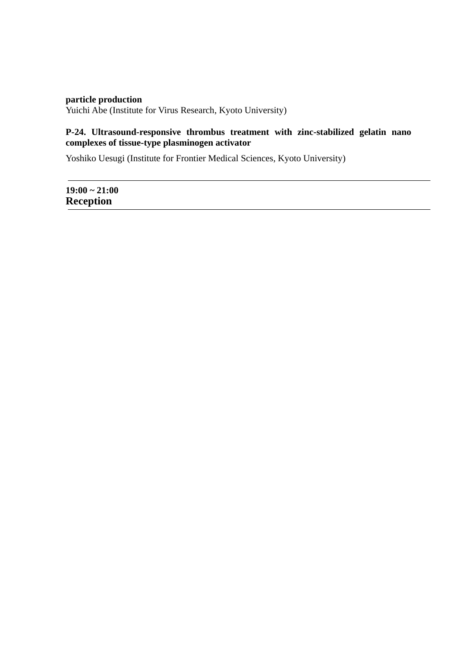## **particle production**  Yuichi Abe (Institute for Virus Research, Kyoto University)

## **P-24. Ultrasound-responsive thrombus treatment with zinc-stabilized gelatin nano complexes of tissue-type plasminogen activator**

Yoshiko Uesugi (Institute for Frontier Medical Sciences, Kyoto University)

**19:00 ~ 21:00 Reception**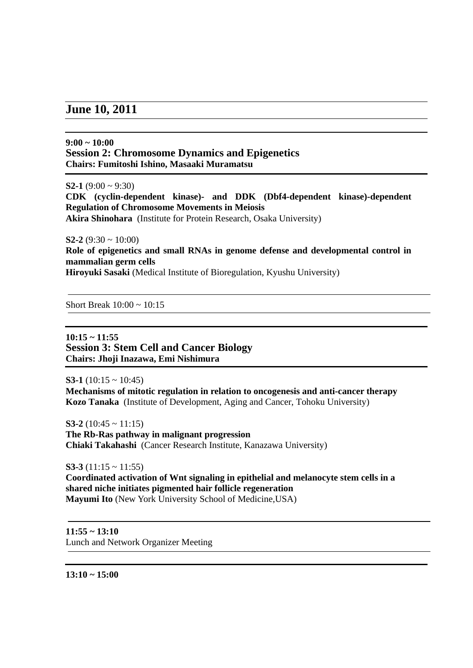## **June 10, 2011**

#### **9:00 ~ 10:00 Session 2: Chromosome Dynamics and Epigenetics Chairs: Fumitoshi Ishino, Masaaki Muramatsu**

**S2-1** (9:00 ~ 9:30)

**CDK (cyclin-dependent kinase)- and DDK (Dbf4-dependent kinase)-dependent Regulation of Chromosome Movements in Meiosis** 

**Akira Shinohara** (Institute for Protein Research, Osaka University)

**S2-2** (9:30  $\sim$  10:00)

**Role of epigenetics and small RNAs in genome defense and developmental control in mammalian germ cells** 

**Hiroyuki Sasaki** (Medical Institute of Bioregulation, Kyushu University)

Short Break  $10:00 \sim 10:15$ 

**10:15 ~ 11:55 Session 3: Stem Cell and Cancer Biology Chairs: Jhoji Inazawa, Emi Nishimura** 

**S3-1** (10:15 ~ 10:45) **Mechanisms of mitotic regulation in relation to oncogenesis and anti-cancer therapy Kozo Tanaka** (Institute of Development, Aging and Cancer, Tohoku University)

**S3-2** (10:45  $\sim$  11:15) **The Rb-Ras pathway in malignant progression Chiaki Takahashi** (Cancer Research Institute, Kanazawa University)

**S3-3** (11:15 ~ 11:55) **Coordinated activation of Wnt signaling in epithelial and melanocyte stem cells in a shared niche initiates pigmented hair follicle regeneration Mayumi Ito** (New York University School of Medicine,USA)

**11:55 ~ 13:10**  Lunch and Network Organizer Meeting

**13:10 ~ 15:00**